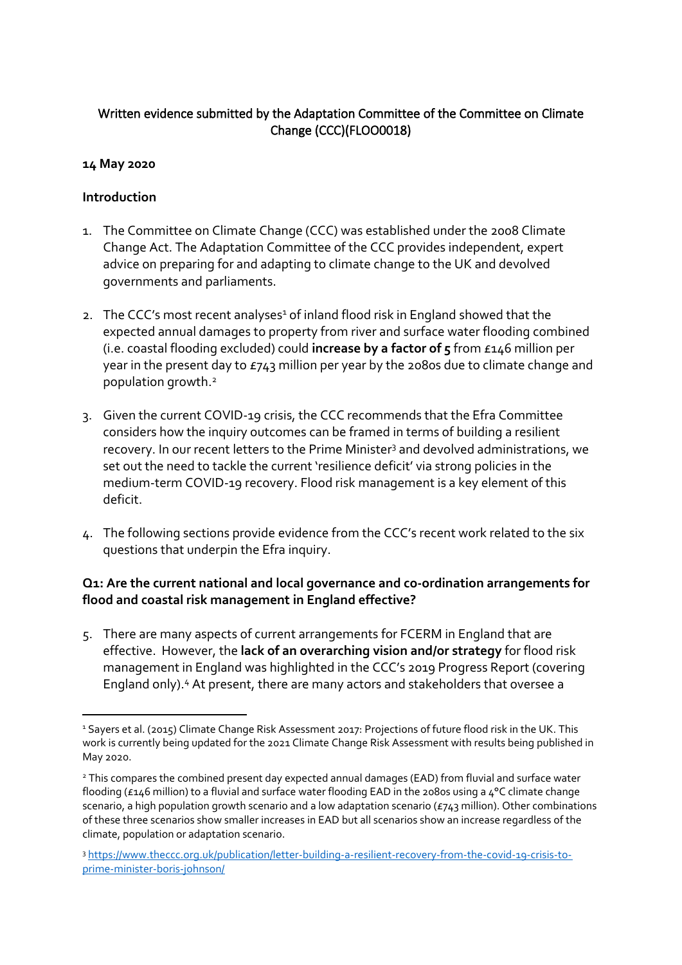# **Written evidence submitted by the Adaptation Committee of the Committee on Climate Change (CCC)(FLOO0018)**

# **14 May 2020**

### **Introduction**

- 1. The Committee on Climate Change (CCC) was established under the 2008 Climate Change Act. The Adaptation Committee of the CCC provides independent, expert advice on preparing for and adapting to climate change to the UK and devolved governments and parliaments.
- 2. The CCC's most recent analyses<sup>1</sup> of inland flood risk in England showed that the expected annual damages to property from river and surface water flooding combined (i.e. coastal flooding excluded) could **increase by a factor of 5** from £146 million per year in the present day to £743 million per year by the 2080s due to climate change and population growth.<sup>2</sup>
- 3. Given the current COVID-19 crisis, the CCC recommends that the Efra Committee considers how the inquiry outcomes can be framed in terms of building a resilient recovery. In our recent letters to the Prime Minister<sup>3</sup> and devolved administrations, we set out the need to tackle the current 'resilience deficit' via strong policies in the medium-term COVID-19 recovery. Flood risk management is a key element of this deficit.
- 4. The following sections provide evidence from the CCC's recent work related to the six questions that underpin the Efra inquiry.

# **Q1: Are the current national and local governance and co-ordination arrangements for flood and coastal risk management in England effective?**

5. There are many aspects of current arrangements for FCERM in England that are effective. However, the **lack of an overarching vision and/or strategy** for flood risk management in England was highlighted in the CCC's 2019 Progress Report (covering England only).<sup>4</sup> At present, there are many actors and stakeholders that oversee a

<sup>&</sup>lt;sup>1</sup> Sayers et al. (2015) Climate Change Risk Assessment 2017: Projections of future flood risk in the UK. This work is currently being updated for the 2021 Climate Change Risk Assessment with results being published in May 2020.

<sup>2</sup> This compares the combined present day expected annual damages (EAD) from fluvial and surface water flooding (£146 million) to a fluvial and surface water flooding EAD in the 2080s using a 4°C climate change scenario, a high population growth scenario and a low adaptation scenario (£743 million). Other combinations of these three scenarios show smaller increases in EAD but all scenarios show an increase regardless of the climate, population or adaptation scenario.

<sup>3</sup> [https://www.theccc.org.uk/publication/letter-building-a-resilient-recovery-from-the-covid-19-crisis-to](https://www.theccc.org.uk/publication/letter-building-a-resilient-recovery-from-the-covid-19-crisis-to-prime-minister-boris-johnson/)[prime-minister-boris-johnson/](https://www.theccc.org.uk/publication/letter-building-a-resilient-recovery-from-the-covid-19-crisis-to-prime-minister-boris-johnson/)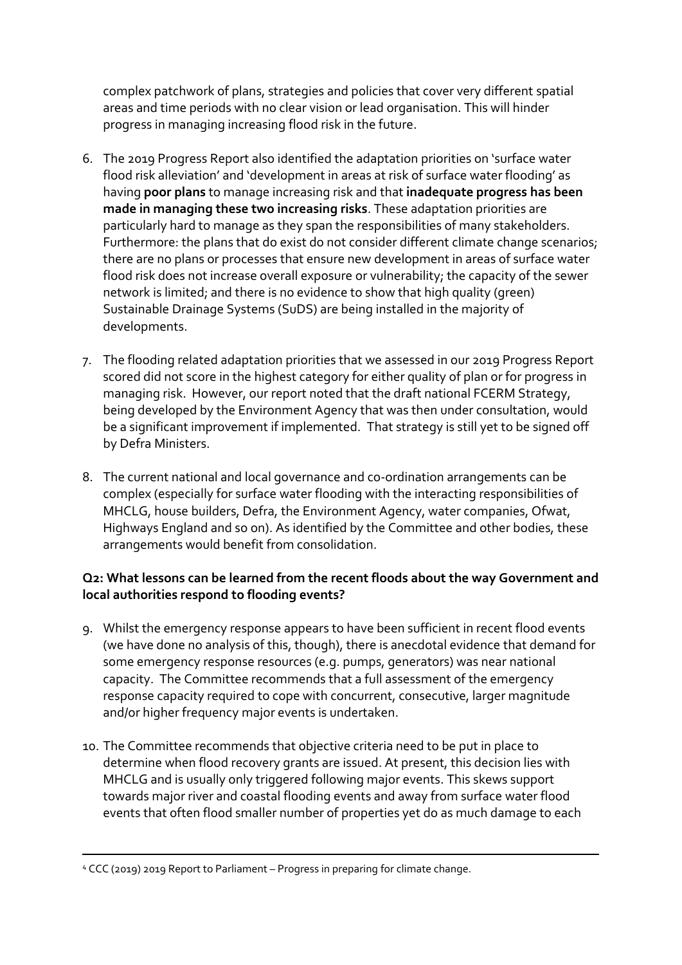complex patchwork of plans, strategies and policies that cover very different spatial areas and time periods with no clear vision or lead organisation. This will hinder progress in managing increasing flood risk in the future.

- 6. The 2019 Progress Report also identified the adaptation priorities on 'surface water flood risk alleviation' and 'development in areas at risk of surface water flooding' as having **poor plans** to manage increasing risk and that **inadequate progress has been made in managing these two increasing risks**. These adaptation priorities are particularly hard to manage as they span the responsibilities of many stakeholders. Furthermore: the plans that do exist do not consider different climate change scenarios; there are no plans or processes that ensure new development in areas of surface water flood risk does not increase overall exposure or vulnerability; the capacity of the sewer network is limited; and there is no evidence to show that high quality (green) Sustainable Drainage Systems (SuDS) are being installed in the majority of developments.
- 7. The flooding related adaptation priorities that we assessed in our 2019 Progress Report scored did not score in the highest category for either quality of plan or for progress in managing risk. However, our report noted that the draft national FCERM Strategy, being developed by the Environment Agency that was then under consultation, would be a significant improvement if implemented. That strategy is still yet to be signed off by Defra Ministers.
- 8. The current national and local governance and co-ordination arrangements can be complex (especially for surface water flooding with the interacting responsibilities of MHCLG, house builders, Defra, the Environment Agency, water companies, Ofwat, Highways England and so on). As identified by the Committee and other bodies, these arrangements would benefit from consolidation.

### **Q2: What lessons can be learned from the recent floods about the way Government and local authorities respond to flooding events?**

- 9. Whilst the emergency response appears to have been sufficient in recent flood events (we have done no analysis of this, though), there is anecdotal evidence that demand for some emergency response resources (e.g. pumps, generators) was near national capacity. The Committee recommends that a full assessment of the emergency response capacity required to cope with concurrent, consecutive, larger magnitude and/or higher frequency major events is undertaken.
- 10. The Committee recommends that objective criteria need to be put in place to determine when flood recovery grants are issued. At present, this decision lies with MHCLG and is usually only triggered following major events. This skews support towards major river and coastal flooding events and away from surface water flood events that often flood smaller number of properties yet do as much damage to each

<sup>4</sup> CCC (2019) 2019 Report to Parliament – Progress in preparing for climate change.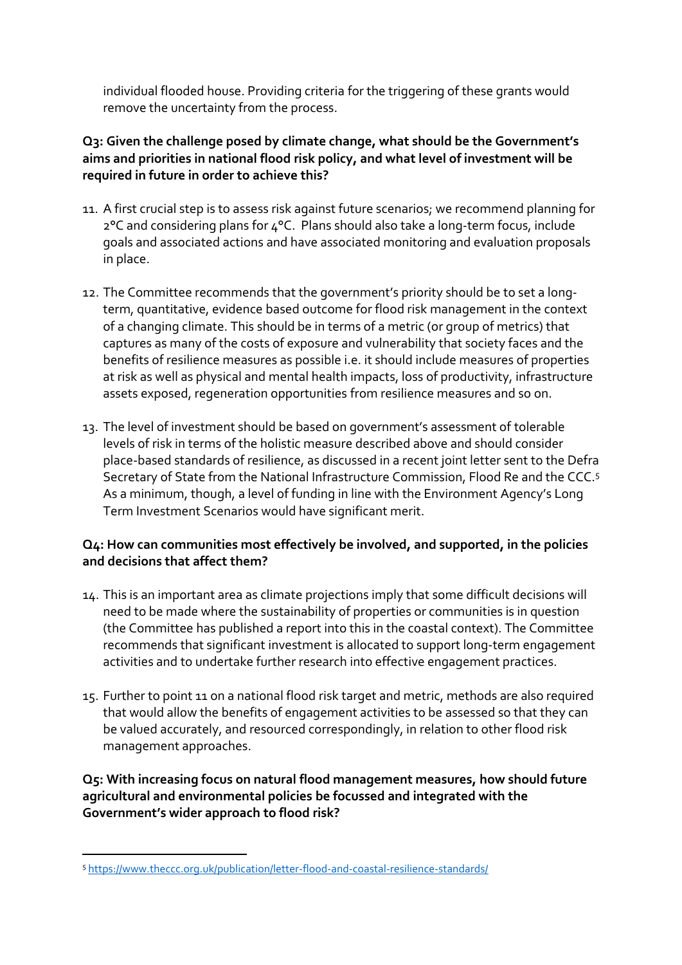individual flooded house. Providing criteria for the triggering of these grants would remove the uncertainty from the process.

# **Q3: Given the challenge posed by climate change, what should be the Government's aims and priorities in national flood risk policy, and what level of investment will be required in future in order to achieve this?**

- 11. A first crucial step is to assess risk against future scenarios; we recommend planning for 2°C and considering plans for 4°C. Plans should also take a long-term focus, include goals and associated actions and have associated monitoring and evaluation proposals in place.
- <span id="page-2-0"></span>12. The Committee recommends that the government's priority should be to set a longterm, quantitative, evidence based outcome for flood risk management in the context of a changing climate. This should be in terms of a metric (or group of metrics) that captures as many of the costs of exposure and vulnerability that society faces and the benefits of resilience measures as possible i.e. it should include measures of properties at risk as well as physical and mental health impacts, loss of productivity, infrastructure assets exposed, regeneration opportunities from resilience measures and so on.
- 13. The level of investment should be based on government's assessment of tolerable levels of risk in terms of the holistic measure described above and should consider place-based standards of resilience, as discussed in a recent joint letter sent to the Defra Secretary of State from the National Infrastructure Commission, Flood Re and the CCC.<sup>5</sup> As a minimum, though, a level of funding in line with the Environment Agency's Long Term Investment Scenarios would have significant merit.

### **Q4: How can communities most effectively be involved, and supported, in the policies and decisions that affect them?**

- 14. This is an important area as climate projections imply that some difficult decisions will need to be made where the sustainability of properties or communities is in question (the Committee has published a report into this in the coastal context). The Committee recommends that significant investment is allocated to support long-term engagement activities and to undertake further research into effective engagement practices.
- 15. Further to point [11](#page-2-0) on a national flood risk target and metric, methods are also required that would allow the benefits of engagement activities to be assessed so that they can be valued accurately, and resourced correspondingly, in relation to other flood risk management approaches.

# **Q5: With increasing focus on natural flood management measures, how should future agricultural and environmental policies be focussed and integrated with the Government's wider approach to flood risk?**

<sup>5</sup> <https://www.theccc.org.uk/publication/letter-flood-and-coastal-resilience-standards/>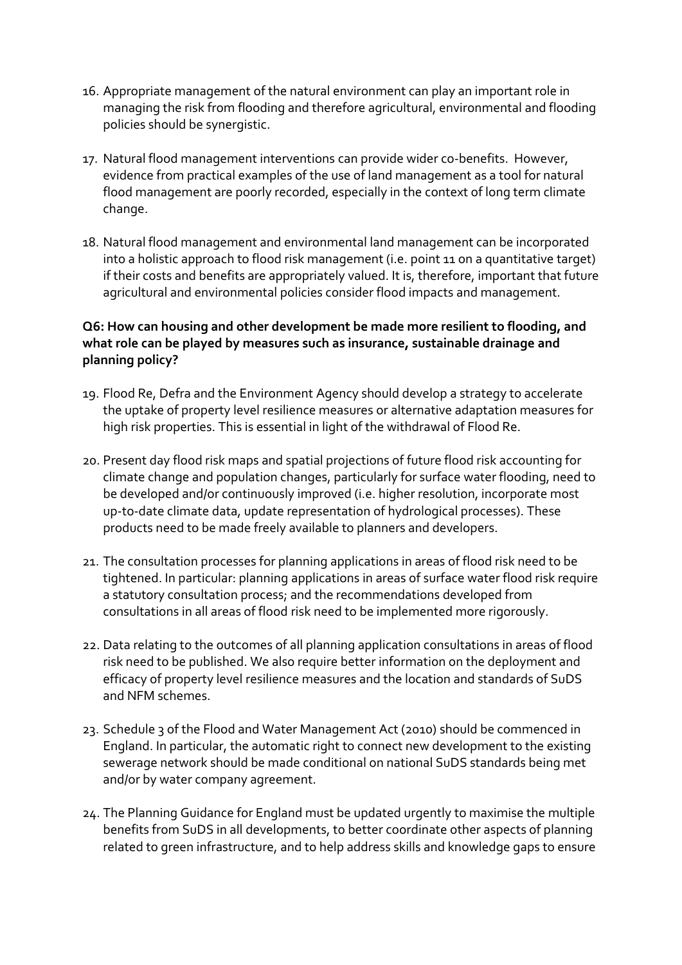- 16. Appropriate management of the natural environment can play an important role in managing the risk from flooding and therefore agricultural, environmental and flooding policies should be synergistic.
- 17. Natural flood management interventions can provide wider co-benefits. However, evidence from practical examples of the use of land management as a tool for natural flood management are poorly recorded, especially in the context of long term climate change.
- 18. Natural flood management and environmental land management can be incorporated into a holistic approach to flood risk management (i.e. point [11](#page-2-0) on a quantitative target) if their costs and benefits are appropriately valued. It is, therefore, important that future agricultural and environmental policies consider flood impacts and management.

# **Q6: How can housing and other development be made more resilient to flooding, and what role can be played by measures such as insurance, sustainable drainage and planning policy?**

- 19. Flood Re, Defra and the Environment Agency should develop a strategy to accelerate the uptake of property level resilience measures or alternative adaptation measures for high risk properties. This is essential in light of the withdrawal of Flood Re.
- 20. Present day flood risk maps and spatial projections of future flood risk accounting for climate change and population changes, particularly for surface water flooding, need to be developed and/or continuously improved (i.e. higher resolution, incorporate most up-to-date climate data, update representation of hydrological processes). These products need to be made freely available to planners and developers.
- 21. The consultation processes for planning applications in areas of flood risk need to be tightened. In particular: planning applications in areas of surface water flood risk require a statutory consultation process; and the recommendations developed from consultations in all areas of flood risk need to be implemented more rigorously.
- 22. Data relating to the outcomes of all planning application consultations in areas of flood risk need to be published. We also require better information on the deployment and efficacy of property level resilience measures and the location and standards of SuDS and NFM schemes.
- 23. Schedule 3 of the Flood and Water Management Act (2010) should be commenced in England. In particular, the automatic right to connect new development to the existing sewerage network should be made conditional on national SuDS standards being met and/or by water company agreement.
- 24. The Planning Guidance for England must be updated urgently to maximise the multiple benefits from SuDS in all developments, to better coordinate other aspects of planning related to green infrastructure, and to help address skills and knowledge gaps to ensure